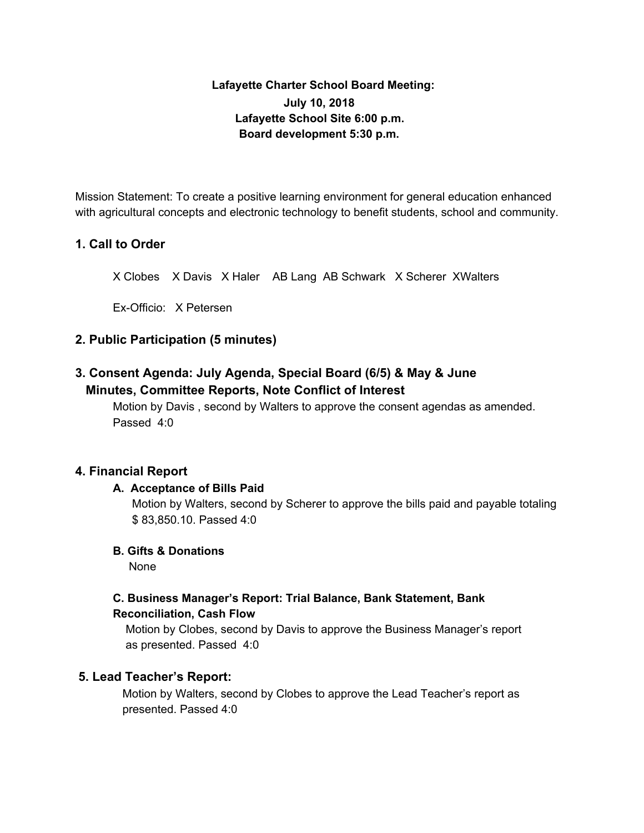# **Lafayette Charter School Board Meeting: July 10, 2018 Lafayette School Site 6:00 p.m. Board development 5:30 p.m.**

Mission Statement: To create a positive learning environment for general education enhanced with agricultural concepts and electronic technology to benefit students, school and community.

# **1. Call to Order**

X Clobes X Davis X Haler AB Lang AB Schwark X Scherer XWalters

Ex-Officio: X Petersen

## **2. Public Participation (5 minutes)**

# **3. Consent Agenda: July Agenda, Special Board (6/5) & May & June Minutes, Committee Reports, Note Conflict of Interest**

Motion by Davis , second by Walters to approve the consent agendas as amended. Passed 4:0

## **4. Financial Report**

### **A. Acceptance of Bills Paid**

Motion by Walters, second by Scherer to approve the bills paid and payable totaling \$ 83,850.10. Passed 4:0

## **B. Gifts & Donations**

None

## **C. Business Manager's Report: Trial Balance, Bank Statement, Bank Reconciliation, Cash Flow**

Motion by Clobes, second by Davis to approve the Business Manager's report as presented. Passed 4:0

## **5. Lead Teacher's Report:**

Motion by Walters, second by Clobes to approve the Lead Teacher's report as presented. Passed 4:0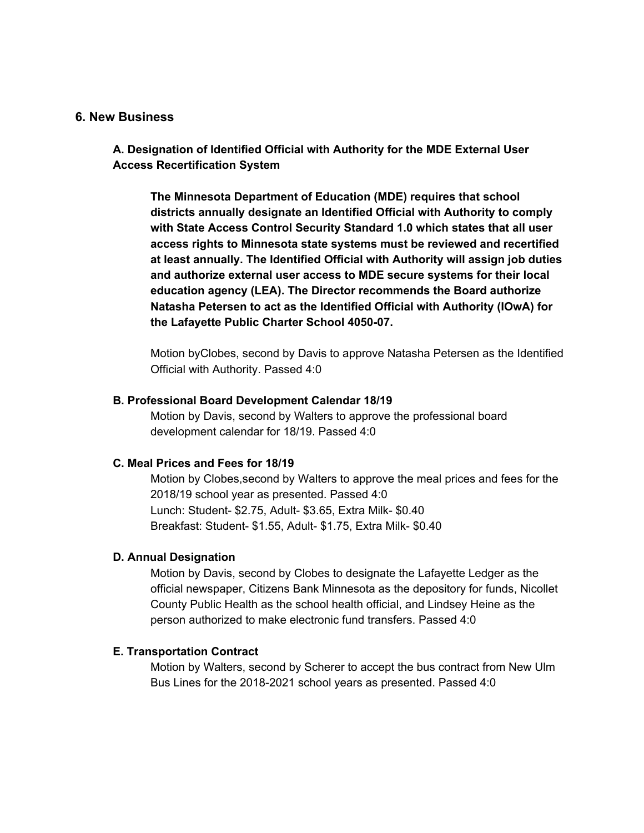#### **6. New Business**

**A. Designation of Identified Official with Authority for the MDE External User Access Recertification System**

**The Minnesota Department of Education (MDE) requires that school districts annually designate an Identified Official with Authority to comply with State Access Control Security Standard 1.0 which states that all user access rights to Minnesota state systems must be reviewed and recertified at least annually. The Identified Official with Authority will assign job duties and authorize external user access to MDE secure systems for their local education agency (LEA). The Director recommends the Board authorize Natasha Petersen to act as the Identified Official with Authority (IOwA) for the Lafayette Public Charter School 4050-07.**

Motion byClobes, second by Davis to approve Natasha Petersen as the Identified Official with Authority. Passed 4:0

#### **B. Professional Board Development Calendar 18/19**

Motion by Davis, second by Walters to approve the professional board development calendar for 18/19. Passed 4:0

#### **C. Meal Prices and Fees for 18/19**

Motion by Clobes,second by Walters to approve the meal prices and fees for the 2018/19 school year as presented. Passed 4:0 Lunch: Student- \$2.75, Adult- \$3.65, Extra Milk- \$0.40 Breakfast: Student- \$1.55, Adult- \$1.75, Extra Milk- \$0.40

#### **D. Annual Designation**

Motion by Davis, second by Clobes to designate the Lafayette Ledger as the official newspaper, Citizens Bank Minnesota as the depository for funds, Nicollet County Public Health as the school health official, and Lindsey Heine as the person authorized to make electronic fund transfers. Passed 4:0

#### **E. Transportation Contract**

Motion by Walters, second by Scherer to accept the bus contract from New Ulm Bus Lines for the 2018-2021 school years as presented. Passed 4:0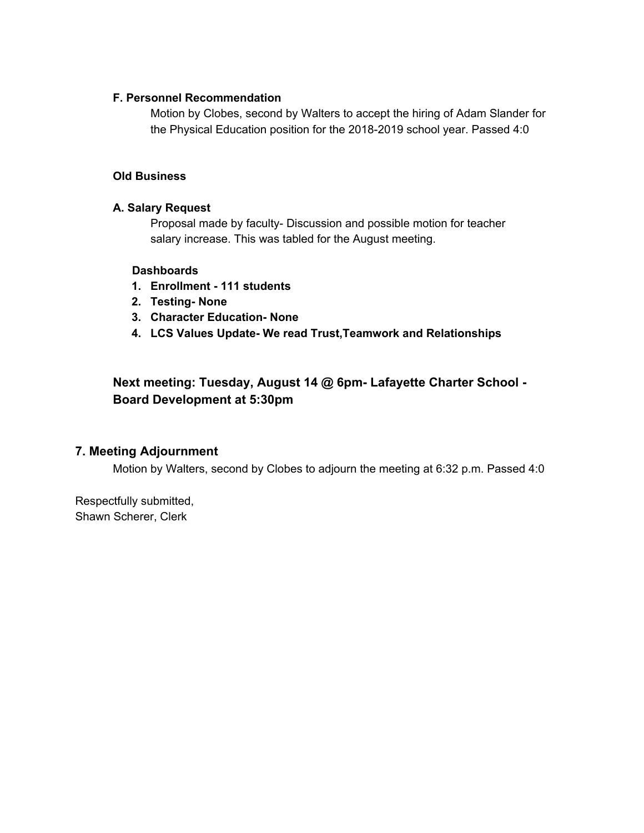### **F. Personnel Recommendation**

Motion by Clobes, second by Walters to accept the hiring of Adam Slander for the Physical Education position for the 2018-2019 school year. Passed 4:0

### **Old Business**

### **A. Salary Request**

Proposal made by faculty- Discussion and possible motion for teacher salary increase. This was tabled for the August meeting.

### **Dashboards**

- **1. Enrollment - 111 students**
- **2. Testing- None**
- **3. Character Education- None**
- **4. LCS Values Update- We read Trust,Teamwork and Relationships**

# **Next meeting: Tuesday, August 14 @ 6pm- Lafayette Charter School - Board Development at 5:30pm**

## **7. Meeting Adjournment**

Motion by Walters, second by Clobes to adjourn the meeting at 6:32 p.m. Passed 4:0

Respectfully submitted, Shawn Scherer, Clerk